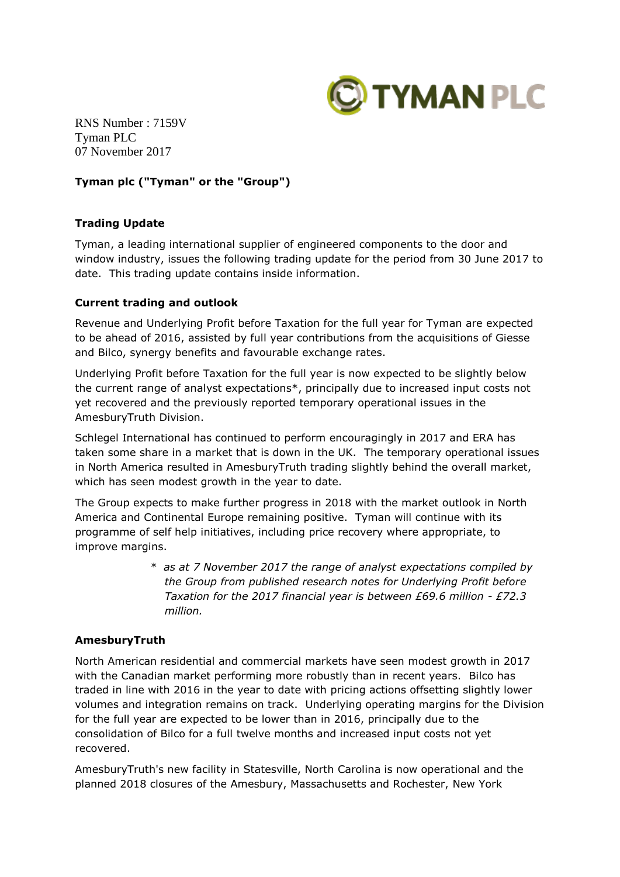

RNS Number : 7159V Tyman PLC 07 November 2017

# **Tyman plc ("Tyman" or the "Group")**

# **Trading Update**

Tyman, a leading international supplier of engineered components to the door and window industry, issues the following trading update for the period from 30 June 2017 to date. This trading update contains inside information.

# **Current trading and outlook**

Revenue and Underlying Profit before Taxation for the full year for Tyman are expected to be ahead of 2016, assisted by full year contributions from the acquisitions of Giesse and Bilco, synergy benefits and favourable exchange rates.

Underlying Profit before Taxation for the full year is now expected to be slightly below the current range of analyst expectations\*, principally due to increased input costs not yet recovered and the previously reported temporary operational issues in the AmesburyTruth Division.

Schlegel International has continued to perform encouragingly in 2017 and ERA has taken some share in a market that is down in the UK. The temporary operational issues in North America resulted in AmesburyTruth trading slightly behind the overall market, which has seen modest growth in the year to date.

The Group expects to make further progress in 2018 with the market outlook in North America and Continental Europe remaining positive. Tyman will continue with its programme of self help initiatives, including price recovery where appropriate, to improve margins.

> *\* as at 7 November 2017 the range of analyst expectations compiled by the Group from published research notes for Underlying Profit before Taxation for the 2017 financial year is between £69.6 million - £72.3 million.*

# **AmesburyTruth**

North American residential and commercial markets have seen modest growth in 2017 with the Canadian market performing more robustly than in recent years. Bilco has traded in line with 2016 in the year to date with pricing actions offsetting slightly lower volumes and integration remains on track. Underlying operating margins for the Division for the full year are expected to be lower than in 2016, principally due to the consolidation of Bilco for a full twelve months and increased input costs not yet recovered.

AmesburyTruth's new facility in Statesville, North Carolina is now operational and the planned 2018 closures of the Amesbury, Massachusetts and Rochester, New York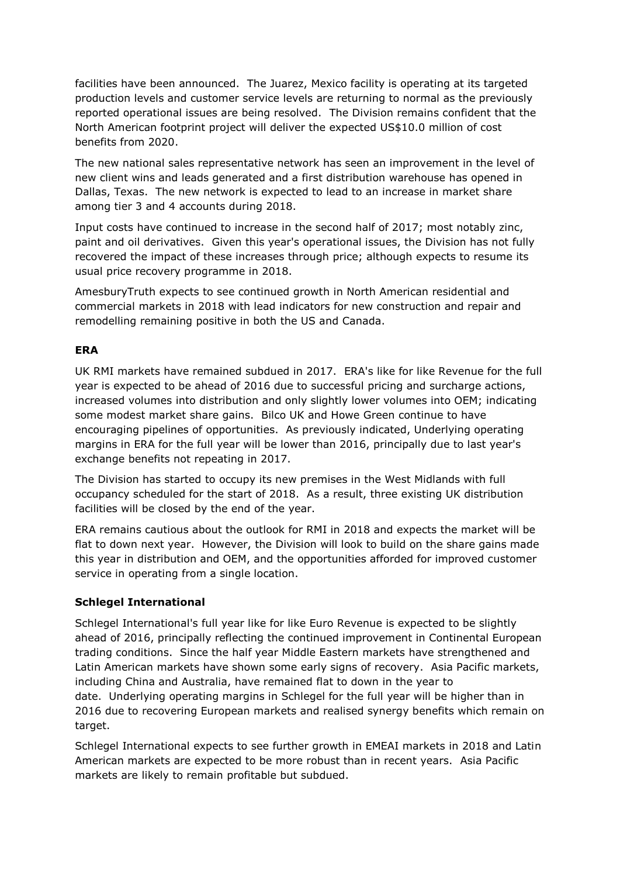facilities have been announced. The Juarez, Mexico facility is operating at its targeted production levels and customer service levels are returning to normal as the previously reported operational issues are being resolved. The Division remains confident that the North American footprint project will deliver the expected US\$10.0 million of cost benefits from 2020.

The new national sales representative network has seen an improvement in the level of new client wins and leads generated and a first distribution warehouse has opened in Dallas, Texas. The new network is expected to lead to an increase in market share among tier 3 and 4 accounts during 2018.

Input costs have continued to increase in the second half of 2017; most notably zinc, paint and oil derivatives. Given this year's operational issues, the Division has not fully recovered the impact of these increases through price; although expects to resume its usual price recovery programme in 2018.

AmesburyTruth expects to see continued growth in North American residential and commercial markets in 2018 with lead indicators for new construction and repair and remodelling remaining positive in both the US and Canada.

# **ERA**

UK RMI markets have remained subdued in 2017. ERA's like for like Revenue for the full year is expected to be ahead of 2016 due to successful pricing and surcharge actions, increased volumes into distribution and only slightly lower volumes into OEM; indicating some modest market share gains. Bilco UK and Howe Green continue to have encouraging pipelines of opportunities. As previously indicated, Underlying operating margins in ERA for the full year will be lower than 2016, principally due to last year's exchange benefits not repeating in 2017.

The Division has started to occupy its new premises in the West Midlands with full occupancy scheduled for the start of 2018. As a result, three existing UK distribution facilities will be closed by the end of the year.

ERA remains cautious about the outlook for RMI in 2018 and expects the market will be flat to down next year. However, the Division will look to build on the share gains made this year in distribution and OEM, and the opportunities afforded for improved customer service in operating from a single location.

# **Schlegel International**

Schlegel International's full year like for like Euro Revenue is expected to be slightly ahead of 2016, principally reflecting the continued improvement in Continental European trading conditions. Since the half year Middle Eastern markets have strengthened and Latin American markets have shown some early signs of recovery. Asia Pacific markets, including China and Australia, have remained flat to down in the year to date. Underlying operating margins in Schlegel for the full year will be higher than in 2016 due to recovering European markets and realised synergy benefits which remain on target.

Schlegel International expects to see further growth in EMEAI markets in 2018 and Latin American markets are expected to be more robust than in recent years. Asia Pacific markets are likely to remain profitable but subdued.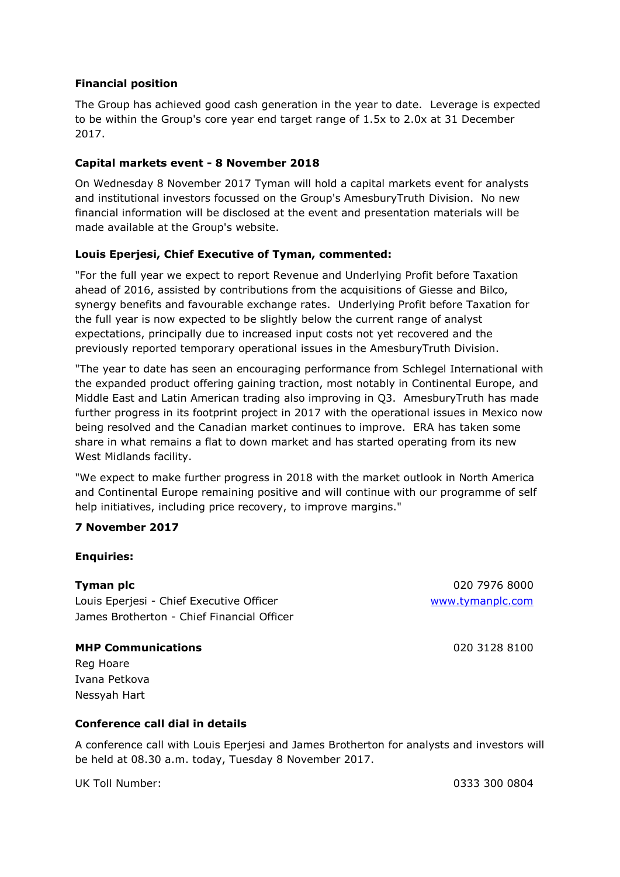## **Financial position**

The Group has achieved good cash generation in the year to date. Leverage is expected to be within the Group's core year end target range of 1.5x to 2.0x at 31 December 2017.

#### **Capital markets event - 8 November 2018**

On Wednesday 8 November 2017 Tyman will hold a capital markets event for analysts and institutional investors focussed on the Group's AmesburyTruth Division. No new financial information will be disclosed at the event and presentation materials will be made available at the Group's website.

### **Louis Eperjesi, Chief Executive of Tyman, commented:**

"For the full year we expect to report Revenue and Underlying Profit before Taxation ahead of 2016, assisted by contributions from the acquisitions of Giesse and Bilco, synergy benefits and favourable exchange rates. Underlying Profit before Taxation for the full year is now expected to be slightly below the current range of analyst expectations, principally due to increased input costs not yet recovered and the previously reported temporary operational issues in the AmesburyTruth Division.

"The year to date has seen an encouraging performance from Schlegel International with the expanded product offering gaining traction, most notably in Continental Europe, and Middle East and Latin American trading also improving in Q3. AmesburyTruth has made further progress in its footprint project in 2017 with the operational issues in Mexico now being resolved and the Canadian market continues to improve. ERA has taken some share in what remains a flat to down market and has started operating from its new West Midlands facility.

"We expect to make further progress in 2018 with the market outlook in North America and Continental Europe remaining positive and will continue with our programme of self help initiatives, including price recovery, to improve margins."

#### **7 November 2017**

#### **Enquiries:**

Louis Eperjesi - Chief Executive Officer [www.tymanplc.com](http://www.tymanplc.com/) James Brotherton - Chief Financial Officer

### **MHP Communications** 020 3128 8100

**Tyman plc** 020 7976 8000

Reg Hoare Ivana Petkova Nessyah Hart

#### **Conference call dial in details**

A conference call with Louis Eperjesi and James Brotherton for analysts and investors will be held at 08.30 a.m. today, Tuesday 8 November 2017.

UK Toll Number: 0333 300 0804